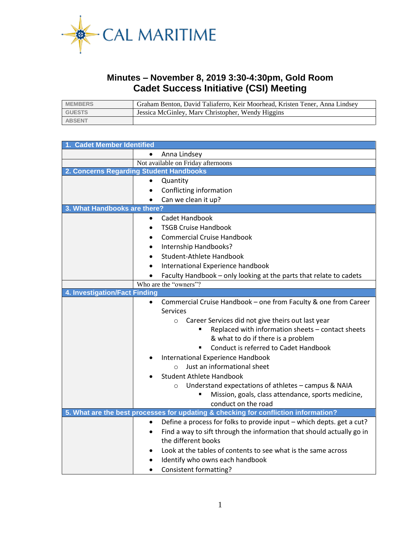

## **Minutes – November 8, 2019 3:30-4:30pm, Gold Room Cadet Success Initiative (CSI) Meeting**

| <b>MEMBERS</b> | Graham Benton, David Taliaferro, Keir Moorhead, Kristen Tener, Anna Lindsey |
|----------------|-----------------------------------------------------------------------------|
| <b>GUESTS</b>  | Jessica McGinley, Mary Christopher, Wendy Higgins                           |
| <b>ABSENT</b>  |                                                                             |

| 1. Cadet Member Identified                                                          |                                                                       |  |  |  |
|-------------------------------------------------------------------------------------|-----------------------------------------------------------------------|--|--|--|
|                                                                                     | Anna Lindsey                                                          |  |  |  |
| Not available on Friday afternoons                                                  |                                                                       |  |  |  |
| 2. Concerns Regarding Student Handbooks                                             |                                                                       |  |  |  |
|                                                                                     | Quantity                                                              |  |  |  |
|                                                                                     | Conflicting information                                               |  |  |  |
|                                                                                     | Can we clean it up?                                                   |  |  |  |
| 3. What Handbooks are there?                                                        |                                                                       |  |  |  |
| $\bullet$                                                                           | Cadet Handbook                                                        |  |  |  |
|                                                                                     | <b>TSGB Cruise Handbook</b>                                           |  |  |  |
| <b>Commercial Cruise Handbook</b><br>$\bullet$                                      |                                                                       |  |  |  |
| Internship Handbooks?<br>٠                                                          |                                                                       |  |  |  |
| Student-Athlete Handbook<br>$\bullet$                                               |                                                                       |  |  |  |
| International Experience handbook                                                   |                                                                       |  |  |  |
|                                                                                     | Faculty Handbook - only looking at the parts that relate to cadets    |  |  |  |
|                                                                                     | Who are the "owners"?                                                 |  |  |  |
| 4. Investigation/Fact Finding                                                       |                                                                       |  |  |  |
| $\bullet$                                                                           | Commercial Cruise Handbook - one from Faculty & one from Career       |  |  |  |
|                                                                                     | Services                                                              |  |  |  |
|                                                                                     | Career Services did not give theirs out last year<br>$\circ$          |  |  |  |
|                                                                                     | Replaced with information sheets - contact sheets                     |  |  |  |
|                                                                                     | & what to do if there is a problem                                    |  |  |  |
|                                                                                     | Conduct is referred to Cadet Handbook<br>٠                            |  |  |  |
| International Experience Handbook<br>$\bullet$                                      |                                                                       |  |  |  |
| $\circ$ Just an informational sheet                                                 |                                                                       |  |  |  |
| <b>Student Athlete Handbook</b>                                                     |                                                                       |  |  |  |
|                                                                                     | Understand expectations of athletes - campus & NAIA<br>$\circ$        |  |  |  |
|                                                                                     | Mission, goals, class attendance, sports medicine,                    |  |  |  |
|                                                                                     | conduct on the road                                                   |  |  |  |
| 5. What are the best processes for updating & checking for confliction information? |                                                                       |  |  |  |
| $\bullet$                                                                           | Define a process for folks to provide input - which depts. get a cut? |  |  |  |
| $\bullet$                                                                           | Find a way to sift through the information that should actually go in |  |  |  |
|                                                                                     | the different books                                                   |  |  |  |
| $\bullet$                                                                           | Look at the tables of contents to see what is the same across         |  |  |  |
| Identify who owns each handbook                                                     |                                                                       |  |  |  |
|                                                                                     | Consistent formatting?                                                |  |  |  |